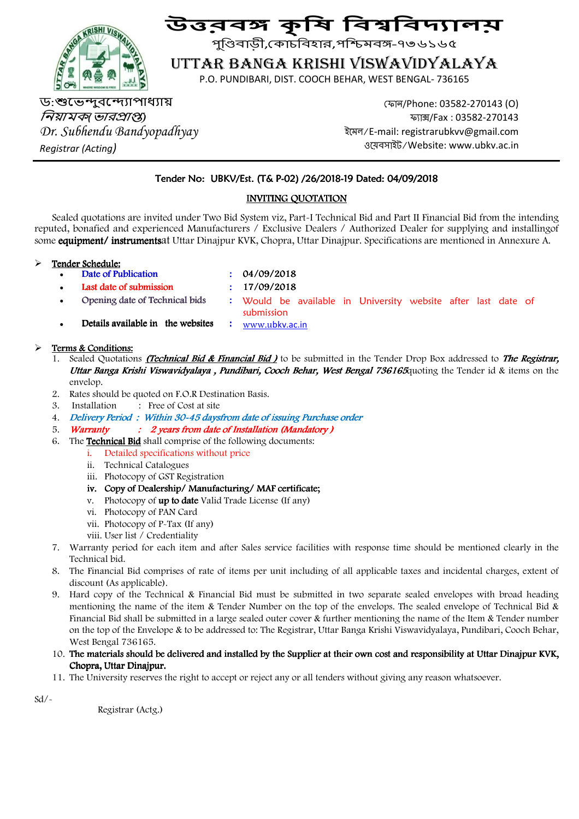

# উত্তৰ্<mark>স</mark> কৃষি বিশ্ববিদ্যালয়

পুণ্ডিবাড়ী,কোচবিহার,পশ্চিমবঙ্গ-৭৩৬১৬৫

## UTTAR BANGA KRISHI VISWAVIDYALAYA

P.O. PUNDIBARI, DIST. COOCH BEHAR, WEST BENGAL- 736165

ড:শুভেন্দুবন্দ্যোপাধ্যায় *নিয়ামক*(*ভারপ্রাপ্ত*) *Dr. Subhendu Bandyopadhyay Registrar (Acting)* 

 ফান/Phone: 03582-270143 (O) ফ্যাক্স/Fax: 03582-270143 ইেমল/E-mail: registrarubkvv@gmail.com ওেয়বসাইট/Website: www.ubkv.ac.in

#### Tender No: UBKV/Est. (T& P-02) /26/2018-19 Dated: 04/09/2018

#### INVITING QUOTATION

Sealed quotations are invited under Two Bid System viz, Part-I Technical Bid and Part II Financial Bid from the intending reputed, bonafied and experienced Manufacturers / Exclusive Dealers / Authorized Dealer for supplying and installingof some equipment/ instrumentsat Uttar Dinajpur KVK, Chopra, Uttar Dinajpur. Specifications are mentioned in Annexure A.

#### Tender Schedule:

- Date of Publication : 04/09/2018
	-
- Last date of submission : 17/09/2018
	-
- 
- Opening date of Technical bids : Would be available in University website after last date of submission
- Details available in the websites : www.ubkv.ac.in

#### > Terms & Conditions:

- 1. Sealed Quotations *(Technical Bid & Financial Bid)* to be submitted in the Tender Drop Box addressed to *The Registrar*, Uttar Banga Krishi Viswavidyalaya, Pundibari, Cooch Behar, West Bengal 736165quoting the Tender id & items on the envelop
- 2. Rates should be quoted on F.O.R Destination Basis.
- 3. Installation : Free of Cost at site
- 4. Delivery Period: Within 30-45 daysfrom date of issuing Purchase order
- 5. Warranty : 2 years from date of Installation (Mandatory)
- 6. The **Technical Bid** shall comprise of the following documents:
	- i. Detailed specifications without price
	- ii. Technical Catalogues
	- iii. Photocopy of GST Registration
	- iv. Copy of Dealership/Manufacturing/MAF certificate;
	- v. Photocopy of **up to date** Valid Trade License (If any)
	- vi. Photocopy of PAN Card
	- vii. Photocopy of P-Tax (If any)
	- viii. User list / Credentiality
- 7. Warranty period for each item and after Sales service facilities with response time should be mentioned clearly in the Technical bid.
- 8. The Financial Bid comprises of rate of items per unit including of all applicable taxes and incidental charges, extent of discount (As applicable).
- 9. Hard copy of the Technical & Financial Bid must be submitted in two separate sealed envelopes with broad heading mentioning the name of the item & Tender Number on the top of the envelops. The sealed envelope of Technical Bid & Financial Bid shall be submitted in a large sealed outer cover & further mentioning the name of the Item & Tender number on the top of the Envelope & to be addressed to: The Registrar, Uttar Banga Krishi Viswavidyalaya, Pundibari, Cooch Behar, West Bengal 736165.
- 10. The materials should be delivered and installed by the Supplier at their own cost and responsibility at Uttar Dinajpur KVK, t Chopra, Uttar Dinajpur.
- 11. The University reserves the right to accept or reject any or all tenders without giving any reason whatsoever.

 $Sd$ /-

Registrar (Actg.)